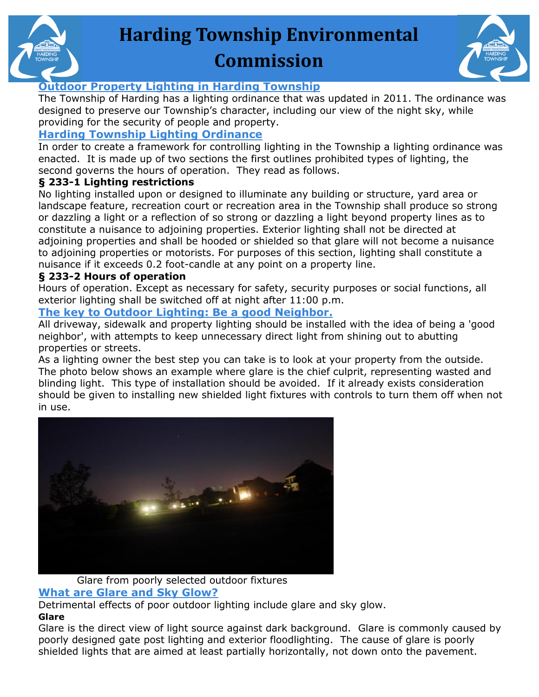

# **Harding Township Environmental Commission**



#### **Outdoor Property Lighting in Harding Township**

The Township of Harding has a lighting ordinance that was updated in 2011. The ordinance was designed to preserve our Township's character, including our view of the night sky, while providing for the security of people and property.

### **Harding Township Lighting Ordinance**

In order to create a framework for controlling lighting in the Township a lighting ordinance was enacted. It is made up of two sections the first outlines prohibited types of lighting, the second governs the hours of operation. They read as follows.

#### **§ 233-1 Lighting restrictions**

No lighting installed upon or designed to illuminate any building or structure, yard area or landscape feature, recreation court or recreation area in the Township shall produce so strong or dazzling a light or a reflection of so strong or dazzling a light beyond property lines as to constitute a nuisance to adjoining properties. Exterior lighting shall not be directed at adjoining properties and shall be hooded or shielded so that glare will not become a nuisance to adjoining properties or motorists. For purposes of this section, lighting shall constitute a nuisance if it exceeds 0.2 foot-candle at any point on a property line.

#### **§ 233-2 Hours of operation**

Hours of operation. Except as necessary for safety, security purposes or social functions, all exterior lighting shall be switched off at night after 11:00 p.m.

#### **The key to Outdoor Lighting: Be a good Neighbor.**

All driveway, sidewalk and property lighting should be installed with the idea of being a 'good neighbor', with attempts to keep unnecessary direct light from shining out to abutting properties or streets.

As a lighting owner the best step you can take is to look at your property from the outside. The photo below shows an example where glare is the chief culprit, representing wasted and blinding light. This type of installation should be avoided. If it already exists consideration should be given to installing new shielded light fixtures with controls to turn them off when not in use.



## Glare from poorly selected outdoor fixtures

#### **What are Glare and Sky Glow?**

Detrimental effects of poor outdoor lighting include glare and sky glow.

#### **Glare**

Glare is the direct view of light source against dark background. Glare is commonly caused by poorly designed gate post lighting and exterior floodlighting. The cause of glare is poorly shielded lights that are aimed at least partially horizontally, not down onto the pavement.